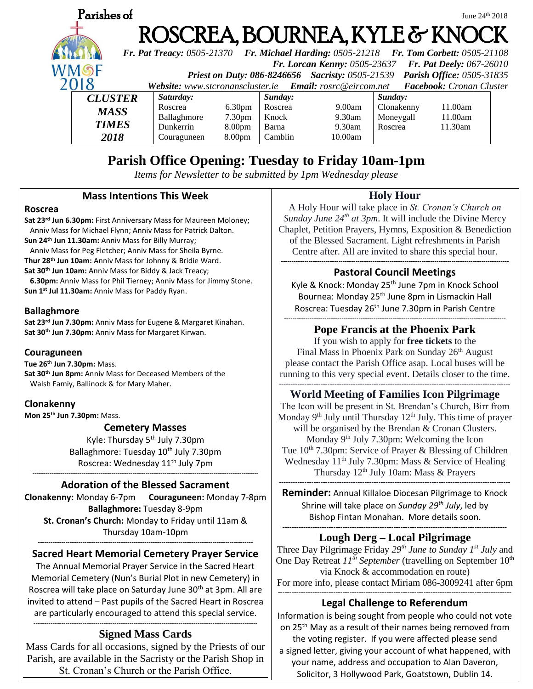

# **Parish Office Opening: Tuesday to Friday 10am-1pm**

*Items for Newsletter to be submitted by 1pm Wednesday please*

### **Mass Intentions This Week**

#### **Roscrea**

**Sat 23rd Jun 6.30pm:** First Anniversary Mass for Maureen Moloney; Anniv Mass for Michael Flynn; Anniv Mass for Patrick Dalton. **Sun 24th Jun 11.30am:** Anniv Mass for Billy Murray;

Anniv Mass for Peg Fletcher; Anniv Mass for Sheila Byrne.

**Thur 28th Jun 10am:** Anniv Mass for Johnny & Bridie Ward.

**Sat 30th Jun 10am:** Anniv Mass for Biddy & Jack Treacy;

 **6.30pm:** Anniv Mass for Phil Tierney; Anniv Mass for Jimmy Stone. **Sun 1st Jul 11.30am:** Anniv Mass for Paddy Ryan.

### **Ballaghmore**

**Sat 23rd Jun 7.30pm:** Anniv Mass for Eugene & Margaret Kinahan. **Sat 30th Jun 7.30pm:** Anniv Mass for Margaret Kirwan.

#### **Couraguneen**

**Tue 26th Jun 7.30pm:** Mass. **Sat 30th Jun 8pm:** Anniv Mass for Deceased Members of the Walsh Famiy, Ballinock & for Mary Maher.

### **Clonakenny**

**Mon 25th Jun 7.30pm:** Mass.

### **Cemetery Masses**

Kyle: Thursday 5th July 7.30pm Ballaghmore: Tuesday 10<sup>th</sup> July 7.30pm Roscrea: Wednesday 11<sup>th</sup> July 7pm

#### **---------------------------------------------------------------------------------------------------------- Adoration of the Blessed Sacrament**

**Clonakenny:** Monday 6-7pm **Couraguneen:** Monday 7-8pm **Ballaghmore:** Tuesday 8-9pm **St. Cronan's Church:** Monday to Friday until 11am & Thursday 10am-10pm

#### **----------------------------------------------------------------------------------------------------- Sacred Heart Memorial Cemetery Prayer Service**

The Annual Memorial Prayer Service in the Sacred Heart Memorial Cemetery (Nun's Burial Plot in new Cemetery) in Roscrea will take place on Saturday June 30<sup>th</sup> at 3pm. All are invited to attend – Past pupils of the Sacred Heart in Roscrea are particularly encouraged to attend this special service.

#### --------------------------------------------------------------------------------------------------------- **Signed Mass Cards**

Mass Cards for all occasions, signed by the Priests of our Parish, are available in the Sacristy or the Parish Shop in St. Cronan's Church or the Parish Office.

### **Holy Hour**

A Holy Hour will take place in *St. Cronan's Church on Sunday June 24th at 3pm*. It will include the Divine Mercy Chaplet, Petition Prayers, Hymns, Exposition & Benediction of the Blessed Sacrament. Light refreshments in Parish Centre after. All are invited to share this special hour. **-----------------------------------------------------------------------------------------------------------**

### **Pastoral Council Meetings**

Kyle & Knock: Monday 25<sup>th</sup> June 7pm in Knock School Bournea: Monday 25<sup>th</sup> June 8pm in Lismackin Hall Roscrea: Tuesday 26<sup>th</sup> June 7.30pm in Parish Centre

#### **-------------------------------------------------------------------------------------------------------- Pope Francis at the Phoenix Park**

If you wish to apply for **free tickets** to the Final Mass in Phoenix Park on Sunday 26<sup>th</sup> August please contact the Parish Office asap. Local buses will be running to this very special event. Details closer to the time. ----------------------------------------------------------------------------------------------------

### **World Meeting of Families Icon Pilgrimage**

The Icon will be present in St. Brendan's Church, Birr from Monday  $9<sup>th</sup>$  July until Thursday  $12<sup>th</sup>$  July. This time of prayer will be organised by the Brendan & Cronan Clusters. Monday 9<sup>th</sup> July 7.30pm: Welcoming the Icon Tue  $10^{th}$  7.30pm: Service of Prayer & Blessing of Children Wednesday  $11<sup>th</sup>$  July 7.30pm: Mass & Service of Healing Thursday  $12<sup>th</sup>$  July 10am: Mass & Prayers ----------------------------------------------------------------------------------------------------

**Reminder:** Annual Killaloe Diocesan Pilgrimage to Knock Shrine will take place on *Sunday 29th July*, led by Bishop Fintan Monahan. More details soon. **-------------------------------------------------------------------------------------------------**

### **Lough Derg – Local Pilgrimage**

Three Day Pilgrimage Friday *29th June to Sunday 1st July* and One Day Retreat  $II^{\hat{h}}$  *September* (travelling on September 10<sup>th</sup> via Knock & accommodation en route)

For more info, please contact Miriam 086-3009241 after 6pm **-----------------------------------------------------------------------------------------------------**

### **Legal Challenge to Referendum**

Information is being sought from people who could not vote on 25<sup>th</sup> May as a result of their names being removed from the voting register. If you were affected please send a signed letter, giving your account of what happened, with your name, address and occupation to Alan Daveron, Solicitor, 3 Hollywood Park, Goatstown, Dublin 14.